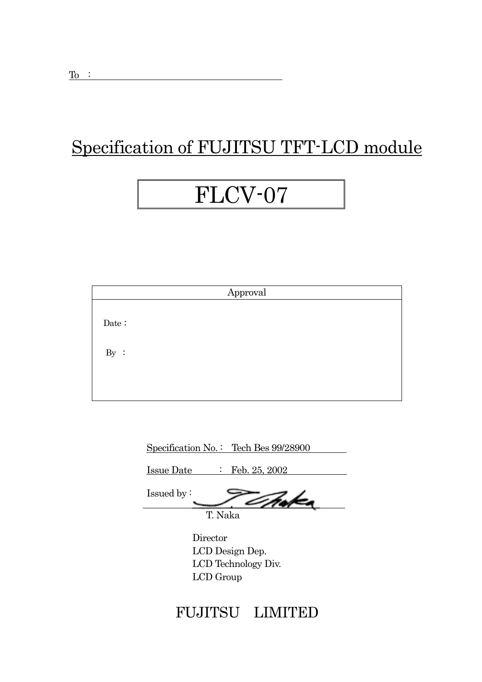## Specification of FUJITSU TFT-LCD module

## FLCV-07

|       |  | Approval |  |
|-------|--|----------|--|
| Date: |  |          |  |
| By :  |  |          |  |
|       |  |          |  |

| Specification No.: Tech Bes 99/28900     |
|------------------------------------------|
| $\therefore$ Feb. 25, 2002<br>Issue Date |
| Issued by $\colon$                       |
| T. Naka                                  |
| Director                                 |
| $T \cap D$                               |

 LCD Design Dep. LCD Technology Div. LCD Group

## FUJITSU LIMITED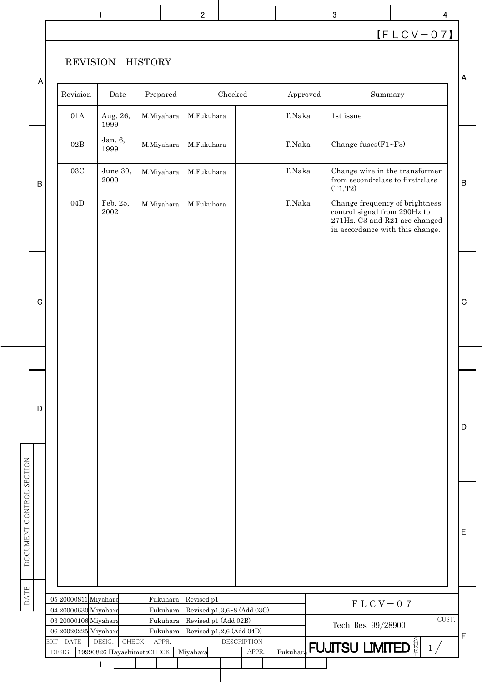|                          |        |                                              | $\mathbf{1}$              |                      | $\mathbf{2}$         |                                                |       |          | 3                                                                                                                                  | 4           |             |
|--------------------------|--------|----------------------------------------------|---------------------------|----------------------|----------------------|------------------------------------------------|-------|----------|------------------------------------------------------------------------------------------------------------------------------------|-------------|-------------|
|                          |        |                                              |                           |                      |                      |                                                |       |          |                                                                                                                                    | $[FLCV-07]$ |             |
|                          |        | REVISION                                     |                           | <b>HISTORY</b>       |                      |                                                |       |          |                                                                                                                                    |             | A           |
| A                        |        | Revision                                     | Date                      | Prepared             | Checked              |                                                |       | Approved | Summary                                                                                                                            |             |             |
|                          |        | $01\mbox{\AA}$                               | Aug. 26,<br>1999          | M.Miyahara           | M.Fukuhara           |                                                |       | T.Naka   | 1st issue                                                                                                                          |             |             |
|                          |        | $02\mathrm{B}$                               | Jan. 6,<br>1999           | M.Miyahara           | M.Fukuhara           |                                                |       | T.Naka   | Change fuses(F1~F3)                                                                                                                |             |             |
| $\sf B$                  |        | $03\mathrm{C}$                               | June 30,<br>2000          | M.Miyahara           | M.Fukuhara           |                                                |       | T.Naka   | Change wire in the transformer<br>from second-class to first-class<br>(T1,T2)                                                      |             | B           |
|                          |        | 04D                                          | Feb. 25,<br>$\,2002\,$    | M.Miyahara           | M.Fukuhara           |                                                |       | T.Naka   | Change frequency of brightness<br>control signal from 290Hz to<br>271Hz. C3 and R21 are changed<br>in accordance with this change. |             |             |
| $\mathbf C$              |        |                                              |                           |                      |                      |                                                |       |          |                                                                                                                                    |             | $\mathbf C$ |
|                          |        |                                              |                           |                      |                      |                                                |       |          |                                                                                                                                    |             |             |
| D                        |        |                                              |                           |                      |                      |                                                |       |          |                                                                                                                                    |             |             |
|                          |        |                                              |                           |                      |                      |                                                |       |          |                                                                                                                                    |             | D           |
|                          |        |                                              |                           |                      |                      |                                                |       |          |                                                                                                                                    |             |             |
| DOCUMENT CONTROL SECTION |        |                                              |                           |                      |                      |                                                |       |          |                                                                                                                                    |             | E           |
| <b>DATE</b>              |        | 05 20000811 Miyahara                         |                           | Fukuhara             | Revised p1           |                                                |       |          |                                                                                                                                    |             |             |
|                          |        | 04 20000630 Miyahara<br>03 20000106 Miyahara |                           | Fukuhara<br>Fukuhara | Revised p1 (Add 02B) | Revised p1,3,6~8 (Add 03C)                     |       |          | $F LCV - 07$                                                                                                                       | CUST.       |             |
|                          | EDIT   | 06 20020225 Miyahara<br><b>DATE</b>          | DESIG.<br>${\rm CHECK}$   | Fukuhara<br>APPR.    |                      | Revised p1,2,6 (Add 04D)<br><b>DESCRIPTION</b> |       |          | Tech Bes 99/28900                                                                                                                  |             | F           |
|                          | DESIG. |                                              | 19990826 HayashimotoCHECK |                      | Miyahara             |                                                | APPR. | Fukuhara | <b>FUJITSU LIMITED</b>                                                                                                             | 1/          |             |
|                          |        |                                              | 1                         |                      |                      |                                                |       |          |                                                                                                                                    |             |             |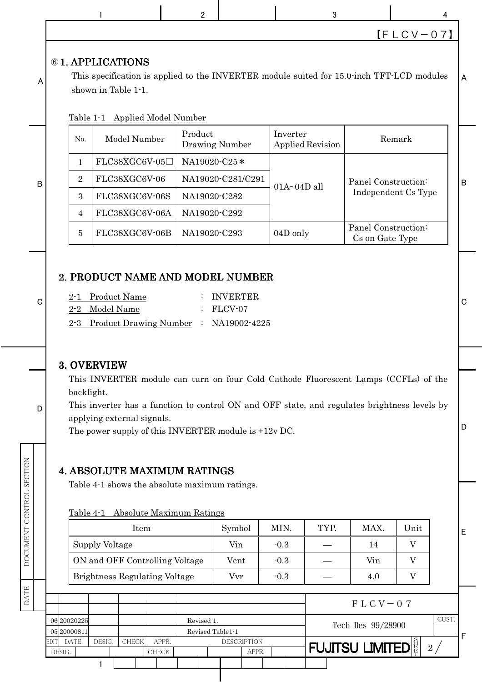|                            |                                                                                                                                                                                                                                                                                                                                                                                                                                                                                    |                | 1                                             |  | $\overline{2}$                   |                   |                    | 3                       |                                        |                           | 4      |   |
|----------------------------|------------------------------------------------------------------------------------------------------------------------------------------------------------------------------------------------------------------------------------------------------------------------------------------------------------------------------------------------------------------------------------------------------------------------------------------------------------------------------------|----------------|-----------------------------------------------|--|----------------------------------|-------------------|--------------------|-------------------------|----------------------------------------|---------------------------|--------|---|
|                            |                                                                                                                                                                                                                                                                                                                                                                                                                                                                                    |                |                                               |  |                                  |                   |                    |                         |                                        | $[FLCV-07]$               |        |   |
| A                          | <b>61. APPLICATIONS</b><br>This specification is applied to the INVERTER module suited for 15.0-inch TFT-LCD modules<br>shown in Table 1-1.<br>Table 1-1 Applied Model Number                                                                                                                                                                                                                                                                                                      |                |                                               |  |                                  |                   |                    |                         |                                        |                           |        | A |
|                            |                                                                                                                                                                                                                                                                                                                                                                                                                                                                                    | N <sub>0</sub> | Model Number                                  |  | Product<br><b>Drawing Number</b> |                   | Inverter           | <b>Applied Revision</b> |                                        | Remark                    |        |   |
|                            |                                                                                                                                                                                                                                                                                                                                                                                                                                                                                    | $\mathbf{1}$   | FLC38XGC6V-05□                                |  | NA19020-C25*                     |                   |                    |                         |                                        |                           |        |   |
| B                          |                                                                                                                                                                                                                                                                                                                                                                                                                                                                                    | $\overline{2}$ | FLC38XGC6V-06                                 |  |                                  | NA19020-C281/C291 |                    |                         | Panel Construction:                    |                           |        | B |
|                            |                                                                                                                                                                                                                                                                                                                                                                                                                                                                                    | 3              | FLC38XGC6V-06S                                |  | NA19020-C282                     |                   | $01A \sim 04D$ all |                         | Independent Cs Type                    |                           |        |   |
|                            |                                                                                                                                                                                                                                                                                                                                                                                                                                                                                    | $\overline{4}$ | FLC38XGC6V-06A                                |  | NA19020-C292                     |                   |                    |                         |                                        |                           |        |   |
|                            |                                                                                                                                                                                                                                                                                                                                                                                                                                                                                    | $\overline{5}$ | FLC38XGC6V-06B                                |  | NA19020-C293                     |                   | 04D only           |                         | Panel Construction:<br>Cs on Gate Type |                           |        |   |
| C<br>D                     | 2. PRODUCT NAME AND MODEL NUMBER<br><b>INVERTER</b><br><b>Product Name</b><br>$2 - 1$<br>Model Name<br>FLCV-07<br>$2 - 2$<br>2-3 Product Drawing Number : NA19002-4225<br>3. OVERVIEW<br>This INVERTER module can turn on four Cold Cathode Fluorescent Lamps (CCFLs) of the<br>backlight.<br>This inverter has a function to control ON and OFF state, and regulates brightness levels by<br>applying external signals.<br>The power supply of this INVERTER module is $+12v$ DC. |                |                                               |  |                                  |                   |                    |                         |                                        |                           | C<br>D |   |
| MONDINIANI CONTROL PECTINI |                                                                                                                                                                                                                                                                                                                                                                                                                                                                                    |                | <b>4. ABSOLUTE MAXIMUM RATINGS</b>            |  |                                  |                   |                    |                         |                                        |                           |        |   |
|                            |                                                                                                                                                                                                                                                                                                                                                                                                                                                                                    |                | Table 4-1 shows the absolute maximum ratings. |  |                                  |                   |                    |                         |                                        |                           |        |   |
|                            |                                                                                                                                                                                                                                                                                                                                                                                                                                                                                    | Table 4-1      |                                               |  | <b>Absolute Maximum Ratings</b>  |                   |                    |                         |                                        |                           |        |   |
|                            | Symbol<br>MIN.<br>TYP.<br>MAX.<br>Item<br>Unit                                                                                                                                                                                                                                                                                                                                                                                                                                     |                |                                               |  |                                  |                   |                    |                         |                                        |                           |        | E |
|                            |                                                                                                                                                                                                                                                                                                                                                                                                                                                                                    |                | Supply Voltage                                |  |                                  | Vin               | $-0.3$             |                         | 14                                     | V                         |        |   |
|                            |                                                                                                                                                                                                                                                                                                                                                                                                                                                                                    |                | ON and OFF Controlling Voltage                |  |                                  | Vcnt              | $-0.3$             |                         | Vin                                    | V                         |        |   |
|                            |                                                                                                                                                                                                                                                                                                                                                                                                                                                                                    |                | <b>Brightness Regulating Voltage</b>          |  |                                  | Vvr               | $-0.3$             |                         | 4.0                                    | $\boldsymbol{\mathrm{V}}$ |        |   |
| ם ברבי<br>ב                |                                                                                                                                                                                                                                                                                                                                                                                                                                                                                    |                |                                               |  |                                  |                   |                    |                         |                                        |                           |        |   |
|                            | $F LCV - 07$<br>06 20020225<br>Revised 1.<br>Tech Bes 99/28900<br>05 20000811<br>Revised Table1-1                                                                                                                                                                                                                                                                                                                                                                                  |                |                                               |  |                                  |                   |                    |                         |                                        | CUST.                     |        |   |

 $\frac{2}{7}$ 

F

FUJITSU LIMITED $\frac{3}{\frac{15}{11}}$  2/

NOILOSE TORLNOO LNEMIOOO | SLVO DATE DOCUMENT CONTROL SECTION

EDIT DATE DESIG. CHECK APPR.

DESIG. CHECK CHECK APPR.

 $\mathbf{1}$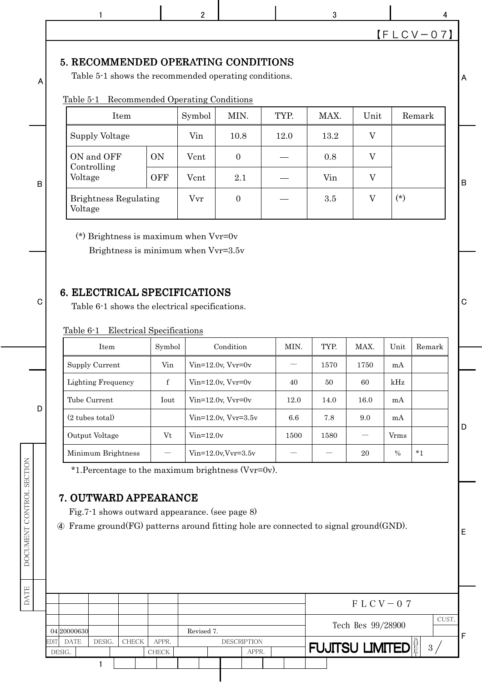|             |      | 1                                                                                                                                                               |                                         | $\overline{2}$ |                          |      | 3                      |                   |              | 4           |
|-------------|------|-----------------------------------------------------------------------------------------------------------------------------------------------------------------|-----------------------------------------|----------------|--------------------------|------|------------------------|-------------------|--------------|-------------|
|             |      |                                                                                                                                                                 |                                         |                |                          |      |                        |                   |              | $[FLCV-07]$ |
| A           |      | 5. RECOMMENDED OPERATING CONDITIONS<br>Table 5-1 shows the recommended operating conditions.<br>Table 5-1                                                       | <b>Recommended Operating Conditions</b> |                |                          |      |                        |                   |              |             |
|             |      | Item                                                                                                                                                            |                                         | Symbol         | MIN.                     | TYP. | MAX.                   | Unit              |              | Remark      |
|             |      | Supply Voltage                                                                                                                                                  |                                         | Vin            | 10.8                     | 12.0 | 13.2                   | V                 |              |             |
|             |      | ON and OFF                                                                                                                                                      | <b>ON</b>                               | Vcnt           | $\mathbf{0}$             |      | 0.8                    | $\mathbf V$       |              |             |
|             |      | Controlling<br>Voltage                                                                                                                                          | <b>OFF</b>                              | Vcnt           | 2.1                      |      | Vin                    | V                 |              |             |
| B           |      | <b>Brightness Regulating</b><br>Voltage                                                                                                                         |                                         | Vvr            | $\boldsymbol{0}$         |      | 3.5                    | $\overline{V}$    | $(*)$        |             |
|             |      |                                                                                                                                                                 |                                         |                |                          |      |                        |                   |              |             |
| $\mathbf C$ |      | 6. ELECTRICAL SPECIFICATIONS<br>Table 6-1 shows the electrical specifications.<br>Table 6-1                                                                     | <b>Electrical Specifications</b>        |                |                          |      |                        |                   |              |             |
|             |      | Item                                                                                                                                                            | Symbol                                  |                | Condition                | MIN. | TYP.                   | MAX.              | Unit         | Remark      |
|             |      | Supply Current                                                                                                                                                  | Vin                                     |                | $Vin=12.0v, Vvr=0v$      |      | $1570\,$               | $1750\,$          | mA           |             |
|             |      | <b>Lighting Frequency</b>                                                                                                                                       | $\mathbf f$                             |                | $Vin=12.0v, Vvr=0v$      | 40   | 50                     | 60                | kHz          |             |
| D           |      | Tube Current                                                                                                                                                    | Iout                                    |                | $Vin=12.0v, Vvr=0v$      | 12.0 | 14.0                   | 16.0              | mA           |             |
|             |      | (2 tubes total)                                                                                                                                                 |                                         |                | Vin=12.0v, Vvr=3.5v      | 6.6  | 7.8                    | 9.0               | mA           |             |
|             |      | Output Voltage                                                                                                                                                  | Vt                                      | $Vin=12.0v$    |                          | 1500 | 1580                   |                   | <b>V</b> rms |             |
|             |      | Minimum Brightness<br>*1. Percentage to the maximum brightness ( $Vvr=0v$ ).                                                                                    |                                         |                | $Vin=12.0$ v, $Vvr=3.5v$ |      |                        | 20                | $\%$         | $*_{1}$     |
|             | 4    | 7. OUTWARD APPEARANCE<br>Fig.7-1 shows outward appearance. (see page 8)<br>Frame ground (FG) patterns around fitting hole are connected to signal ground (GND). |                                         |                |                          |      |                        |                   |              |             |
|             |      |                                                                                                                                                                 |                                         |                |                          |      |                        | $F LCV - 07$      |              |             |
|             | EDIT | 04 20000630<br><b>DATE</b><br>DESIG.<br><b>CHECK</b>                                                                                                            | APPR.                                   | Revised 7.     | <b>DESCRIPTION</b>       |      | <b>FUJITSU LIMITED</b> | Tech Bes 99/28900 |              | CUST.<br>3/ |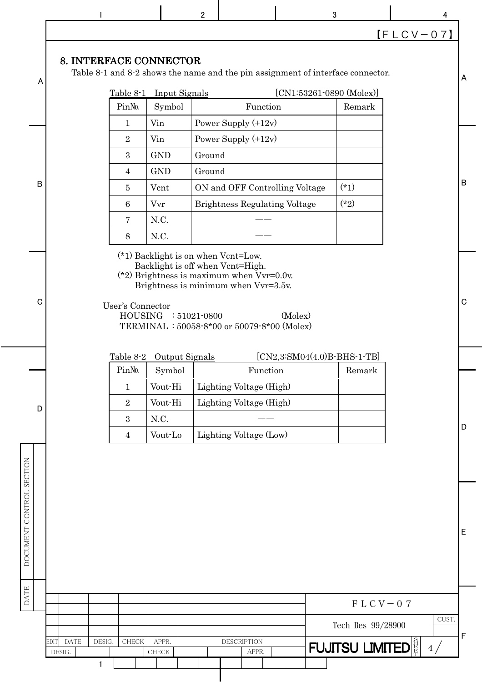|                          |                                               |                                                                                                                         | $\mathbf 2$ |                                                                                                                                               | 3                             | 4            |              |
|--------------------------|-----------------------------------------------|-------------------------------------------------------------------------------------------------------------------------|-------------|-----------------------------------------------------------------------------------------------------------------------------------------------|-------------------------------|--------------|--------------|
|                          |                                               |                                                                                                                         |             |                                                                                                                                               |                               | $[FLCV-07]$  |              |
| A                        | 8. INTERFACE CONNECTOR                        |                                                                                                                         |             | Table $8-1$ and $8-2$ shows the name and the pin assignment of interface connector.                                                           |                               |              | $\Lambda$    |
|                          | Table 8-1                                     | <b>Input Signals</b>                                                                                                    |             |                                                                                                                                               | $[CN1:53261-0890 (Molex)]$    |              |              |
|                          | Pin <sub>N</sub> o.                           | Symbol                                                                                                                  |             | Function                                                                                                                                      | Remark                        |              |              |
|                          | $\mathbf{1}$                                  | Vin                                                                                                                     |             | Power Supply $(+12v)$                                                                                                                         |                               |              |              |
|                          | $\sqrt{2}$                                    | Vin                                                                                                                     |             | Power Supply $(+12v)$                                                                                                                         |                               |              |              |
|                          | 3                                             | <b>GND</b>                                                                                                              | Ground      |                                                                                                                                               |                               |              |              |
|                          | $\overline{4}$                                | <b>GND</b>                                                                                                              | Ground      |                                                                                                                                               |                               |              | $\, {\bf B}$ |
| $\overline{B}$           | 5                                             | Vcnt                                                                                                                    |             | ON and OFF Controlling Voltage                                                                                                                | $(*1)$                        |              |              |
|                          | 6                                             | Vvr                                                                                                                     |             | <b>Brightness Regulating Voltage</b>                                                                                                          | $(*2)$                        |              |              |
|                          | 7                                             | N.C.                                                                                                                    |             |                                                                                                                                               |                               |              |              |
|                          | $8\,$                                         | N.C.                                                                                                                    |             |                                                                                                                                               |                               |              |              |
| C                        |                                               | (*1) Backlight is on when Vcnt=Low.<br>Backlight is off when Vcnt=High.<br>User's Connector<br>$HOUSING$ : $51021-0800$ |             | (*2) Brightness is maximum when $Vvr=0.0v$ .<br>Brightness is minimum when Vvr=3.5v.<br>(Molex)<br>TERMINAL: 50058-8*00 or 50079-8*00 (Molex) |                               |              | $\mathbf C$  |
|                          |                                               | Table 8-2 Output Signals                                                                                                |             |                                                                                                                                               | $[CN2,3:SM04(4.0)B-BHS-1-TB]$ |              |              |
|                          | Pin <sub>N</sub> o.                           | Symbol                                                                                                                  |             | Function                                                                                                                                      | Remark                        |              |              |
|                          | $\mathbf{1}$                                  | Vout-Hi                                                                                                                 |             | Lighting Voltage (High)                                                                                                                       |                               |              |              |
| D                        | $\sqrt{2}$                                    | Vout-Hi                                                                                                                 |             | Lighting Voltage (High)                                                                                                                       |                               |              |              |
|                          | $\boldsymbol{3}$                              | N.C.                                                                                                                    |             |                                                                                                                                               |                               |              | D            |
|                          | $\overline{4}$                                | Vout-Lo                                                                                                                 |             | Lighting Voltage (Low)                                                                                                                        |                               |              |              |
| DOCUMENT CONTROL SECTION |                                               |                                                                                                                         |             |                                                                                                                                               |                               |              | $\mathsf E$  |
| <b>DATE</b>              |                                               |                                                                                                                         |             |                                                                                                                                               |                               |              |              |
|                          |                                               |                                                                                                                         |             |                                                                                                                                               |                               | $F LCV - 07$ |              |
|                          |                                               |                                                                                                                         |             |                                                                                                                                               | Tech Bes 99/28900             | CUST.        |              |
|                          | <b>DATE</b><br>DESIG.<br>EDIT<br><b>CHECK</b> | APPR.                                                                                                                   |             | <b>DESCRIPTION</b>                                                                                                                            |                               |              | $\mathsf F$  |
|                          | DESIG.                                        | <b>CHECK</b>                                                                                                            |             | APPR.                                                                                                                                         | <b>FUJITSU LIMITED</b>        | 4/           |              |
|                          | 1                                             |                                                                                                                         |             |                                                                                                                                               |                               |              |              |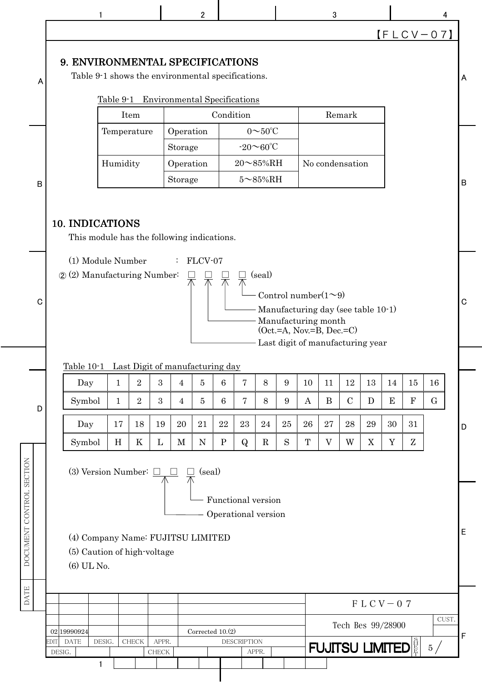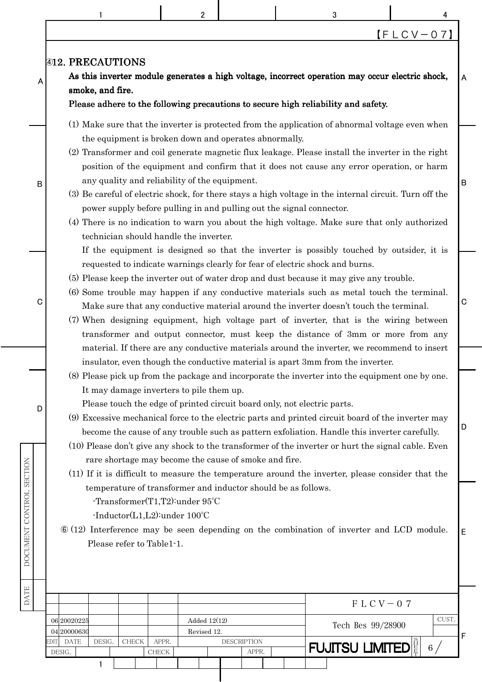|      |                                                                                                                                                                                                                                                                                                                                                                                                       |              | 2                                                                                                                                                |                    | 3                                                                                                                                                                                                                                                                                                                                                                                                                                                                                                                                                                                                                                                                                |                   | 4                 |             |  |
|------|-------------------------------------------------------------------------------------------------------------------------------------------------------------------------------------------------------------------------------------------------------------------------------------------------------------------------------------------------------------------------------------------------------|--------------|--------------------------------------------------------------------------------------------------------------------------------------------------|--------------------|----------------------------------------------------------------------------------------------------------------------------------------------------------------------------------------------------------------------------------------------------------------------------------------------------------------------------------------------------------------------------------------------------------------------------------------------------------------------------------------------------------------------------------------------------------------------------------------------------------------------------------------------------------------------------------|-------------------|-------------------|-------------|--|
|      |                                                                                                                                                                                                                                                                                                                                                                                                       |              |                                                                                                                                                  |                    |                                                                                                                                                                                                                                                                                                                                                                                                                                                                                                                                                                                                                                                                                  |                   | $[F L C V - 0 7]$ |             |  |
| A    | <b>@12. PRECAUTIONS</b><br>smoke, and fire.                                                                                                                                                                                                                                                                                                                                                           |              |                                                                                                                                                  |                    | As this inverter module generates a high voltage, incorrect operation may occur electric shock,<br>Please adhere to the following precautions to secure high reliability and safety.                                                                                                                                                                                                                                                                                                                                                                                                                                                                                             |                   |                   | A           |  |
| B    |                                                                                                                                                                                                                                                                                                                                                                                                       |              | the equipment is broken down and operates abnormally.<br>any quality and reliability of the equipment.<br>technician should handle the inverter. |                    | (1) Make sure that the inverter is protected from the application of abnormal voltage even when<br>(2) Transformer and coil generate magnetic flux leakage. Please install the inverter in the right<br>position of the equipment and confirm that it does not cause any error operation, or harm<br>(3) Be careful of electric shock, for there stays a high voltage in the internal circuit. Turn off the<br>power supply before pulling in and pulling out the signal connector.<br>(4) There is no indication to warn you about the high voltage. Make sure that only authorized<br>If the equipment is designed so that the inverter is possibly touched by outsider, it is |                   |                   | $\mathsf B$ |  |
| C    |                                                                                                                                                                                                                                                                                                                                                                                                       |              |                                                                                                                                                  |                    | requested to indicate warnings clearly for fear of electric shock and burns.<br>(5) Please keep the inverter out of water drop and dust because it may give any trouble.<br>(6) Some trouble may happen if any conductive materials such as metal touch the terminal.<br>Make sure that any conductive material around the inverter doesn't touch the terminal.<br>(7) When designing equipment, high voltage part of inverter, that is the wiring between<br>transformer and output connector, must keep the distance of 3mm or more from any                                                                                                                                   |                   |                   | $\mathbf C$ |  |
|      |                                                                                                                                                                                                                                                                                                                                                                                                       |              |                                                                                                                                                  |                    | material. If there are any conductive materials around the inverter, we recommend to insert<br>insulator, even though the conductive material is apart 3mm from the inverter.                                                                                                                                                                                                                                                                                                                                                                                                                                                                                                    |                   |                   |             |  |
| D    |                                                                                                                                                                                                                                                                                                                                                                                                       |              | It may damage inverters to pile them up.<br>rare shortage may become the cause of smoke and fire.                                                |                    | (8) Please pick up from the package and incorporate the inverter into the equipment one by one.<br>Please touch the edge of printed circuit board only, not electric parts.<br>(9) Excessive mechanical force to the electric parts and printed circuit board of the inverter may<br>become the cause of any trouble such as pattern exfoliation. Handle this inverter carefully.<br>(10) Please don't give any shock to the transformer of the inverter or hurt the signal cable. Even                                                                                                                                                                                          |                   |                   | D           |  |
|      | (11) If it is difficult to measure the temperature around the inverter, please consider that the<br>temperature of transformer and inductor should be as follows.<br>-Transformer $(T1,T2)$ : under $95^{\circ}$ C<br>$-Inductor(L1, L2)$ : under $100^{\circ}$ C<br>$\circ$ (12) Interference may be seen depending on the combination of inverter and LCD module.<br>E<br>Please refer to Table1-1. |              |                                                                                                                                                  |                    |                                                                                                                                                                                                                                                                                                                                                                                                                                                                                                                                                                                                                                                                                  |                   |                   |             |  |
|      |                                                                                                                                                                                                                                                                                                                                                                                                       |              |                                                                                                                                                  |                    |                                                                                                                                                                                                                                                                                                                                                                                                                                                                                                                                                                                                                                                                                  | $F LCV - 07$      |                   |             |  |
| EDIT | 06 20020225<br>04 20000630<br><b>DATE</b><br>DESIG.                                                                                                                                                                                                                                                                                                                                                   | <b>CHECK</b> | Added $12(12)$<br>Revised 12.<br>APPR.                                                                                                           | <b>DESCRIPTION</b> | <b>FUJITSU LIMITED</b>                                                                                                                                                                                                                                                                                                                                                                                                                                                                                                                                                                                                                                                           | Tech Bes 99/28900 | CUST.             | F           |  |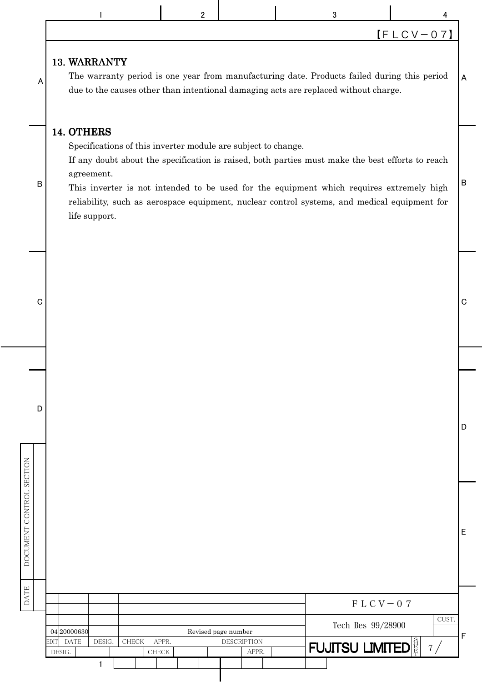|                          |                                           |                        | $\mathbf{2}$                                                  |                                           | 3                                                                                                                                                                                                                                                                                            |                                         |             |
|--------------------------|-------------------------------------------|------------------------|---------------------------------------------------------------|-------------------------------------------|----------------------------------------------------------------------------------------------------------------------------------------------------------------------------------------------------------------------------------------------------------------------------------------------|-----------------------------------------|-------------|
|                          |                                           |                        |                                                               |                                           |                                                                                                                                                                                                                                                                                              | $[FLCV-07]$                             |             |
| A                        | 13. WARRANTY                              |                        |                                                               |                                           | The warranty period is one year from manufacturing date. Products failed during this period<br>due to the causes other than intentional damaging acts are replaced without charge.                                                                                                           |                                         | A           |
| B                        | 14. OTHERS<br>agreement.<br>life support. |                        | Specifications of this inverter module are subject to change. |                                           | If any doubt about the specification is raised, both parties must make the best efforts to reach<br>This inverter is not intended to be used for the equipment which requires extremely high<br>reliability, such as aerospace equipment, nuclear control systems, and medical equipment for |                                         | $\mathsf B$ |
| C                        |                                           |                        |                                                               |                                           |                                                                                                                                                                                                                                                                                              |                                         | C           |
|                          |                                           |                        |                                                               |                                           |                                                                                                                                                                                                                                                                                              |                                         |             |
| D                        |                                           |                        |                                                               |                                           |                                                                                                                                                                                                                                                                                              |                                         | D           |
| DOCUMENT CONTROL SECTION |                                           |                        |                                                               |                                           |                                                                                                                                                                                                                                                                                              |                                         | Е           |
| DATE                     |                                           |                        |                                                               |                                           |                                                                                                                                                                                                                                                                                              | $F LCV - 07$                            |             |
|                          |                                           |                        |                                                               |                                           |                                                                                                                                                                                                                                                                                              | CUST.<br>Tech Bes 99/28900              |             |
|                          | 04 20000630<br><b>DATE</b><br>EDIT        | DESIG.<br><b>CHECK</b> | APPR.                                                         | Revised page number<br><b>DESCRIPTION</b> |                                                                                                                                                                                                                                                                                              | <b>FUJITSU LIMITED</b> $\frac{8}{5}$ 7/ | F           |
|                          | DESIG.                                    | 1                      | CHECK                                                         | APPR.                                     |                                                                                                                                                                                                                                                                                              |                                         |             |

I